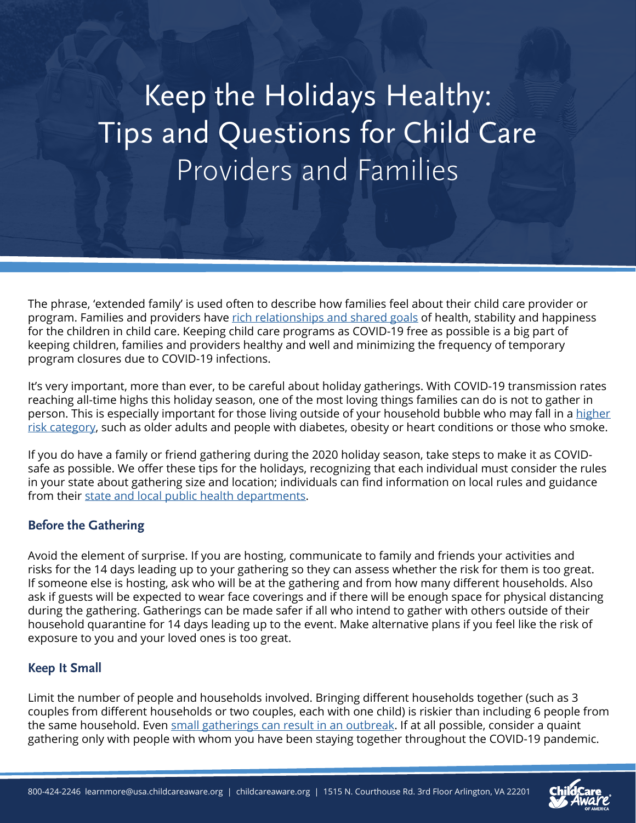# Keep the Holidays Healthy: Tips and Questions for Child Care Providers and Families

The phrase, 'extended family' is used often to describe how families feel about their child care provider or program. Families and providers have [rich relationships and shared goals](https://info.childcareaware.org/blog/considerations-for-child-care-during-covid-19-response-recovery) of health, stability and happiness for the children in child care. Keeping child care programs as COVID-19 free as possible is a big part of keeping children, families and providers healthy and well and minimizing the frequency of temporary program closures due to COVID-19 infections.

It's very important, more than ever, to be careful about holiday gatherings. With COVID-19 transmission rates reaching all-time highs this holiday season, one of the most loving things families can do is not to gather in person. This is especially important for those living outside of your household bubble who may fall in a [higher](https://www.cdc.gov/coronavirus/2019-ncov/need-extra-precautions/people-with-medical-conditions.html)  [risk category](https://www.cdc.gov/coronavirus/2019-ncov/need-extra-precautions/people-with-medical-conditions.html), such as older adults and people with diabetes, obesity or heart conditions or those who smoke.

If you do have a family or friend gathering during the 2020 holiday season, take steps to make it as COVIDsafe as possible. We offer these tips for the holidays, recognizing that each individual must consider the rules in your state about gathering size and location; individuals can find information on local rules and guidance from their [state and local public health departments](https://www.cdc.gov/publichealthgateway/healthdirectories/index.html).

# **Before the Gathering**

Avoid the element of surprise. If you are hosting, communicate to family and friends your activities and risks for the 14 days leading up to your gathering so they can assess whether the risk for them is too great. If someone else is hosting, ask who will be at the gathering and from how many different households. Also ask if guests will be expected to wear face coverings and if there will be enough space for physical distancing during the gathering. Gatherings can be made safer if all who intend to gather with others outside of their household quarantine for 14 days leading up to the event. Make alternative plans if you feel like the risk of exposure to you and your loved ones is too great.

# **Keep It Small**

Limit the number of people and households involved. Bringing different households together (such as 3 couples from different households or two couples, each with one child) is riskier than including 6 people from the same household. Even [small gatherings can result in an outbreak.](https://www.washingtonpost.com/nation/2020/10/10/coronavirus-denier-sick-spreader/?arc404=true) If at all possible, consider a quaint gathering only with people with whom you have been staying together throughout the COVID-19 pandemic.



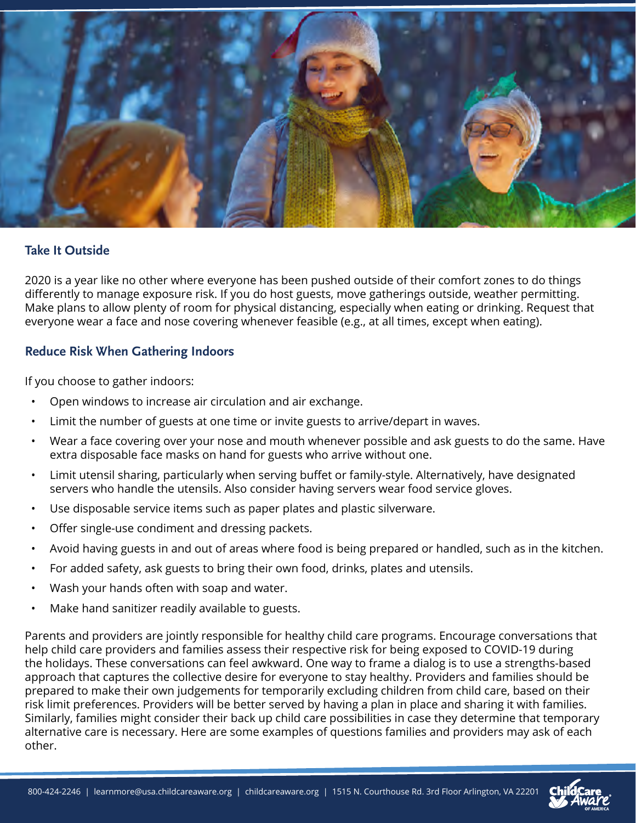

#### **Take It Outside**

2020 is a year like no other where everyone has been pushed outside of their comfort zones to do things differently to manage exposure risk. If you do host guests, move gatherings outside, weather permitting. Make plans to allow plenty of room for physical distancing, especially when eating or drinking. Request that everyone wear a face and nose covering whenever feasible (e.g., at all times, except when eating).

## **Reduce Risk When Gathering Indoors**

If you choose to gather indoors:

- Open windows to increase air circulation and air exchange.
- Limit the number of guests at one time or invite guests to arrive/depart in waves.
- Wear a face covering over your nose and mouth whenever possible and ask guests to do the same. Have extra disposable face masks on hand for guests who arrive without one.
- Limit utensil sharing, particularly when serving buffet or family-style. Alternatively, have designated servers who handle the utensils. Also consider having servers wear food service gloves.
- Use disposable service items such as paper plates and plastic silverware.
- Offer single-use condiment and dressing packets.
- Avoid having guests in and out of areas where food is being prepared or handled, such as in the kitchen.
- For added safety, ask guests to bring their own food, drinks, plates and utensils.
- Wash your hands often with soap and water.
- Make hand sanitizer readily available to guests.

Parents and providers are jointly responsible for healthy child care programs. Encourage conversations that help child care providers and families assess their respective risk for being exposed to COVID-19 during the holidays. These conversations can feel awkward. One way to frame a dialog is to use a strengths-based approach that captures the collective desire for everyone to stay healthy. Providers and families should be prepared to make their own judgements for temporarily excluding children from child care, based on their risk limit preferences. Providers will be better served by having a plan in place and sharing it with families. Similarly, families might consider their back up child care possibilities in case they determine that temporary alternative care is necessary. Here are some examples of questions families and providers may ask of each other.